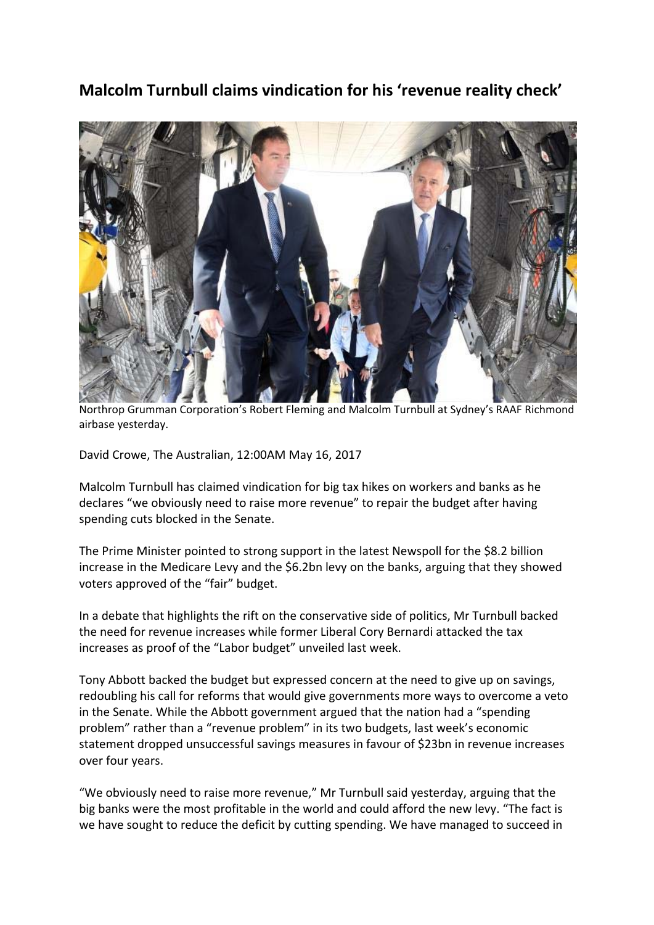## **Malcolm Turnbull claims vindication for his 'revenue reality check'**



Northrop Grumman Corporation's Robert Fleming and Malcolm Turnbull at Sydney's RAAF Richmond airbase yesterday.

David Crowe, The Australian, 12:00AM May 16, 2017

Malcolm Turnbull has claimed vindication for big tax hikes on workers and banks as he declares "we obviously need to raise more revenue" to repair the budget after having spending cuts blocked in the Senate.

The Prime Minister pointed to strong support in the latest Newspoll for the \$8.2 billion increase in the Medicare Levy and the \$6.2bn levy on the banks, arguing that they showed voters approved of the "fair" budget.

In a debate that highlights the rift on the conservative side of politics, Mr Turnbull backed the need for revenue increases while former Liberal Cory Bernardi attacked the tax increases as proof of the "Labor budget" unveiled last week.

Tony Abbott backed the budget but expressed concern at the need to give up on savings, redoubling his call for reforms that would give governments more ways to overcome a veto in the Senate. While the Abbott government argued that the nation had a "spending problem" rather than a "revenue problem" in its two budgets, last week's economic statement dropped unsuccessful savings measures in favour of \$23bn in revenue increases over four years.

"We obviously need to raise more revenue," Mr Turnbull said yesterday, arguing that the big banks were the most profitable in the world and could afford the new levy. "The fact is we have sought to reduce the deficit by cutting spending. We have managed to succeed in